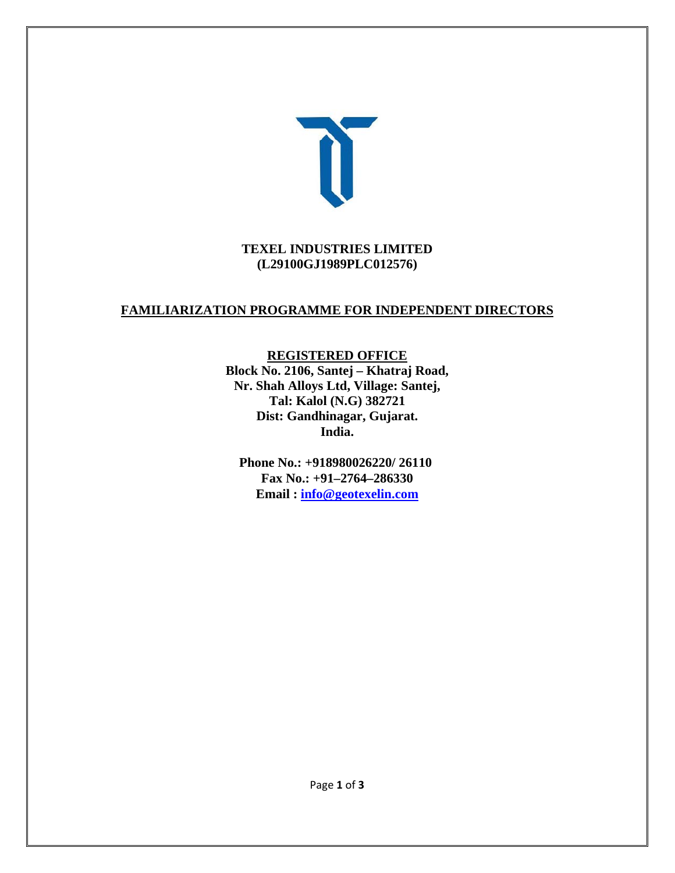

#### **TEXEL INDUSTRIES LIMITED (L29100GJ1989PLC012576)**

## **FAMILIARIZATION PROGRAMME FOR INDEPENDENT DIRECTORS**

#### **REGISTERED OFFICE**

**Block No. 2106, Santej – Khatraj Road, Nr. Shah Alloys Ltd, Village: Santej, Tal: Kalol (N.G) 382721 Dist: Gandhinagar, Gujarat. India.** 

**Phone No.: +918980026220/ 26110 Fax No.: +91–2764–286330 Email : info@geotexelin.com**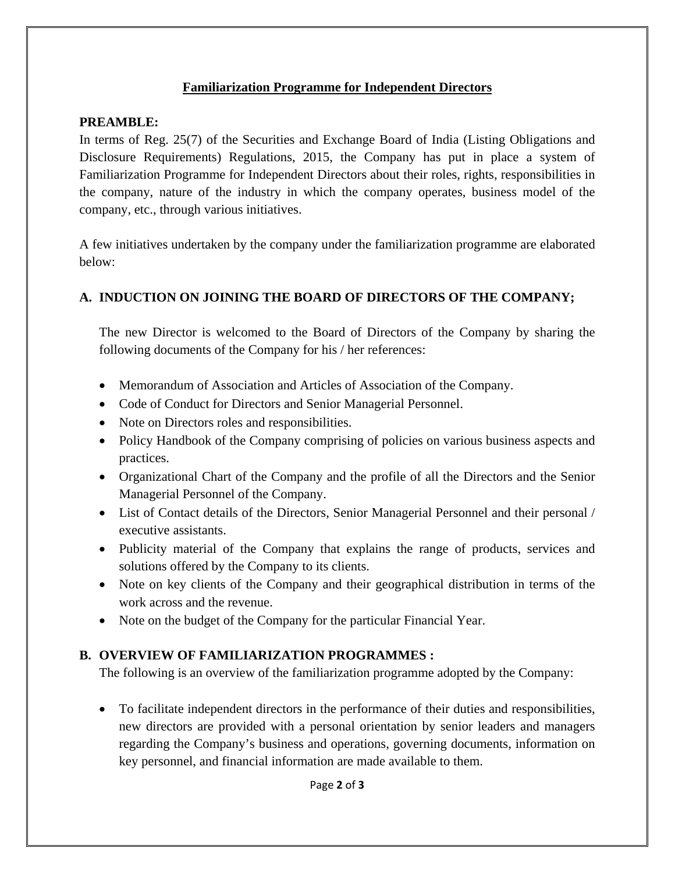### **Familiarization Programme for Independent Directors**

### **PREAMBLE:**

In terms of Reg. 25(7) of the Securities and Exchange Board of India (Listing Obligations and Disclosure Requirements) Regulations, 2015, the Company has put in place a system of Familiarization Programme for Independent Directors about their roles, rights, responsibilities in the company, nature of the industry in which the company operates, business model of the company, etc., through various initiatives.

A few initiatives undertaken by the company under the familiarization programme are elaborated below:

# **A. INDUCTION ON JOINING THE BOARD OF DIRECTORS OF THE COMPANY;**

The new Director is welcomed to the Board of Directors of the Company by sharing the following documents of the Company for his / her references:

- Memorandum of Association and Articles of Association of the Company.
- Code of Conduct for Directors and Senior Managerial Personnel.
- Note on Directors roles and responsibilities.
- Policy Handbook of the Company comprising of policies on various business aspects and practices.
- Organizational Chart of the Company and the profile of all the Directors and the Senior Managerial Personnel of the Company.
- List of Contact details of the Directors, Senior Managerial Personnel and their personal / executive assistants.
- Publicity material of the Company that explains the range of products, services and solutions offered by the Company to its clients.
- Note on key clients of the Company and their geographical distribution in terms of the work across and the revenue.
- Note on the budget of the Company for the particular Financial Year.

# **B. OVERVIEW OF FAMILIARIZATION PROGRAMMES :**

The following is an overview of the familiarization programme adopted by the Company:

 To facilitate independent directors in the performance of their duties and responsibilities, new directors are provided with a personal orientation by senior leaders and managers regarding the Company's business and operations, governing documents, information on key personnel, and financial information are made available to them.